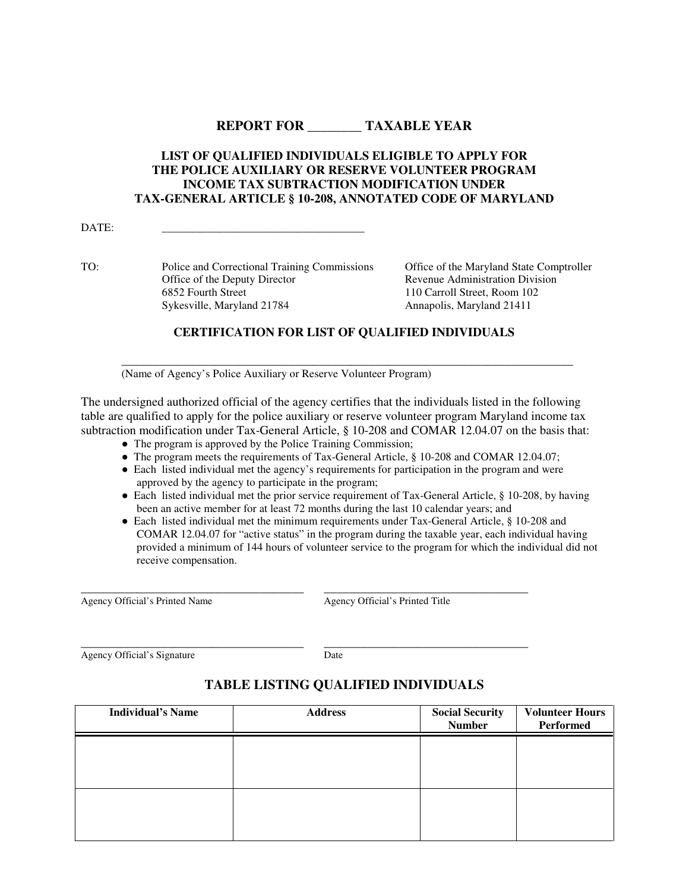## **REPORT FOR \_\_\_\_\_\_\_\_ TAXABLE YEAR**

## **LIST OF QUALIFIED INDIVIDUALS ELIGIBLE TO APPLY FOR THE POLICE AUXILIARY OR RESERVE VOLUNTEER PROGRAM INCOME TAX SUBTRACTION MODIFICATION UNDER TAX-GENERAL ARTICLE § 10-208, ANNOTATED CODE OF MARYLAND**

DATE: \_\_\_\_\_\_\_\_\_\_\_\_\_\_\_\_\_\_\_\_\_\_\_\_\_\_\_\_\_\_\_\_\_\_\_\_

TO: Police and Correctional Training Commissions Office of the Maryland State Comptroller Office of the Deputy Director **Revenue Administration Division** 6852 Fourth Street 110 Carroll Street, Room 102<br>Sykesville, Maryland 21784 Annapolis, Maryland 21411 Sykesville, Maryland 21784

## **CERTIFICATION FOR LIST OF QUALIFIED INDIVIDUALS**

**\_\_\_\_\_\_\_\_\_\_\_\_\_\_\_\_\_\_\_\_\_\_\_\_\_\_\_\_\_\_\_\_\_\_\_\_\_\_\_\_\_\_\_\_\_\_\_\_\_\_\_\_\_\_\_\_\_\_\_\_\_\_\_\_\_\_\_\_\_\_\_\_\_** 

(Name of Agency's Police Auxiliary or Reserve Volunteer Program)

The undersigned authorized official of the agency certifies that the individuals listed in the following table are qualified to apply for the police auxiliary or reserve volunteer program Maryland income tax subtraction modification under Tax-General Article, § 10-208 and COMAR 12.04.07 on the basis that:

- The program is approved by the Police Training Commission;
- The program meets the requirements of Tax-General Article, § 10-208 and COMAR 12.04.07;
- Each listed individual met the agency's requirements for participation in the program and were approved by the agency to participate in the program;
- Each listed individual met the prior service requirement of Tax-General Article, § 10-208, by having been an active member for at least 72 months during the last 10 calendar years; and
- Each listed individual met the minimum requirements under Tax-General Article, § 10-208 and COMAR 12.04.07 for "active status" in the program during the taxable year, each individual having provided a minimum of 144 hours of volunteer service to the program for which the individual did not receive compensation.

Agency Official's Printed Name Agency Official's Printed Title

Agency Official's Signature Date

\_\_\_\_\_\_\_\_\_\_\_\_\_\_\_\_\_\_\_\_\_\_\_\_\_\_\_\_\_\_\_\_\_\_\_\_ \_\_\_\_\_\_\_\_\_\_\_\_\_\_\_\_\_\_\_\_\_\_\_\_\_\_\_\_\_\_\_\_\_

\_\_\_\_\_\_\_\_\_\_\_\_\_\_\_\_\_\_\_\_\_\_\_\_\_\_\_\_\_\_\_\_\_\_\_\_ \_\_\_\_\_\_\_\_\_\_\_\_\_\_\_\_\_\_\_\_\_\_\_\_\_\_\_\_\_\_\_\_\_

## **TABLE LISTING QUALIFIED INDIVIDUALS**

| <b>Individual's Name</b> | <b>Address</b> | <b>Social Security</b><br><b>Number</b> | <b>Volunteer Hours</b><br>Performed |
|--------------------------|----------------|-----------------------------------------|-------------------------------------|
|                          |                |                                         |                                     |
|                          |                |                                         |                                     |
|                          |                |                                         |                                     |
|                          |                |                                         |                                     |